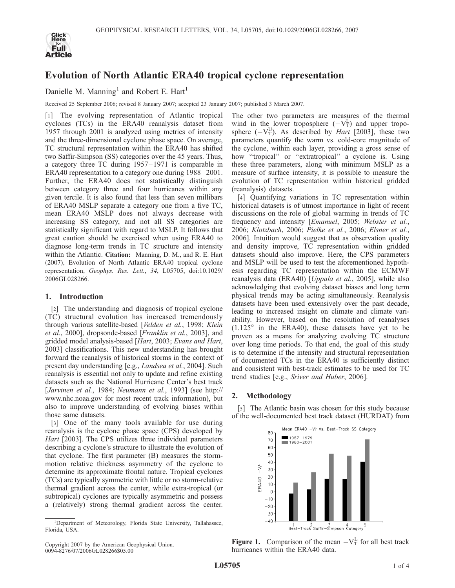

# Evolution of North Atlantic ERA40 tropical cyclone representation

Danielle M. Manning<sup>1</sup> and Robert E. Hart<sup>1</sup>

Received 25 September 2006; revised 8 January 2007; accepted 23 January 2007; published 3 March 2007.

[1] The evolving representation of Atlantic tropical cyclones (TCs) in the ERA40 reanalysis dataset from 1957 through 2001 is analyzed using metrics of intensity and the three-dimensional cyclone phase space. On average, TC structural representation within the ERA40 has shifted two Saffir-Simpson (SS) categories over the 45 years. Thus, a category three TC during 1957– 1971 is comparable in ERA40 representation to a category one during 1988 –2001. Further, the ERA40 does not statistically distinguish between category three and four hurricanes within any given tercile. It is also found that less than seven millibars of ERA40 MSLP separate a category one from a five TC, mean ERA40 MSLP does not always decrease with increasing SS category, and not all SS categories are statistically significant with regard to MSLP. It follows that great caution should be exercised when using ERA40 to diagnose long-term trends in TC structure and intensity within the Atlantic. Citation: Manning, D. M., and R. E. Hart (2007), Evolution of North Atlantic ERA40 tropical cyclone representation, Geophys. Res. Lett., 34, L05705, doi:10.1029/ 2006GL028266.

## 1. Introduction

[2] The understanding and diagnosis of tropical cyclone (TC) structural evolution has increased tremendously through various satellite-based [Velden et al., 1998; Klein et al., 2000], dropsonde-based [Franklin et al., 2003], and gridded model analysis-based [Hart, 2003; Evans and Hart, 2003] classifications. This new understanding has brought forward the reanalysis of historical storms in the context of present day understanding [e.g., Landsea et al., 2004]. Such reanalysis is essential not only to update and refine existing datasets such as the National Hurricane Center's best track [Jarvinen et al., 1984; Neumann et al., 1993] (see http:// www.nhc.noaa.gov for most recent track information), but also to improve understanding of evolving biases within those same datasets.

[3] One of the many tools available for use during reanalysis is the cyclone phase space (CPS) developed by Hart [2003]. The CPS utilizes three individual parameters describing a cyclone's structure to illustrate the evolution of that cyclone. The first parameter (B) measures the stormmotion relative thickness asymmetry of the cyclone to determine its approximate frontal nature. Tropical cyclones (TCs) are typically symmetric with little or no storm-relative thermal gradient across the center, while extra-tropical (or subtropical) cyclones are typically asymmetric and possess a (relatively) strong thermal gradient across the center.

The other two parameters are measures of the thermal wind in the lower troposphere  $(-V_T^L)$  and upper troposphere  $(-V_T^U)$ . As described by *Hart* [2003], these two parameters quantify the warm vs. cold-core magnitude of the cyclone, within each layer, providing a gross sense of how "tropical" or "extratropical" a cyclone is. Using these three parameters, along with minimum MSLP as a measure of surface intensity, it is possible to measure the evolution of TC representation within historical gridded (reanalysis) datasets.

[4] Quantifying variations in TC representation within historical datasets is of utmost importance in light of recent discussions on the role of global warming in trends of TC frequency and intensity [Emanuel, 2005; Webster et al., 2006; Klotzbach, 2006; Pielke et al., 2006; Elsner et al., 2006]. Intuition would suggest that as observation quality and density improve, TC representation within gridded datasets should also improve. Here, the CPS parameters and MSLP will be used to test the aforementioned hypothesis regarding TC representation within the ECMWF reanalysis data (ERA40) [Uppala et al., 2005], while also acknowledging that evolving dataset biases and long term physical trends may be acting simultaneously. Reanalysis datasets have been used extensively over the past decade, leading to increased insight on climate and climate variability. However, based on the resolution of reanalyses  $(1.125^{\circ}$  in the ERA40), these datasets have yet to be proven as a means for analyzing evolving TC structure over long time periods. To that end, the goal of this study is to determine if the intensity and structural representation of documented TCs in the ERA40 is sufficiently distinct and consistent with best-track estimates to be used for TC trend studies [e.g., Sriver and Huber, 2006].

## 2. Methodology

[5] The Atlantic basin was chosen for this study because of the well-documented best track dataset (HURDAT) from



**Figure 1.** Comparison of the mean  $-V_T^L$  for all best track hurricanes within the ERA40 data.

<sup>&</sup>lt;sup>1</sup>Department of Meteorology, Florida State University, Tallahassee, Florida, USA.

Copyright 2007 by the American Geophysical Union. 0094-8276/07/2006GL028266\$05.00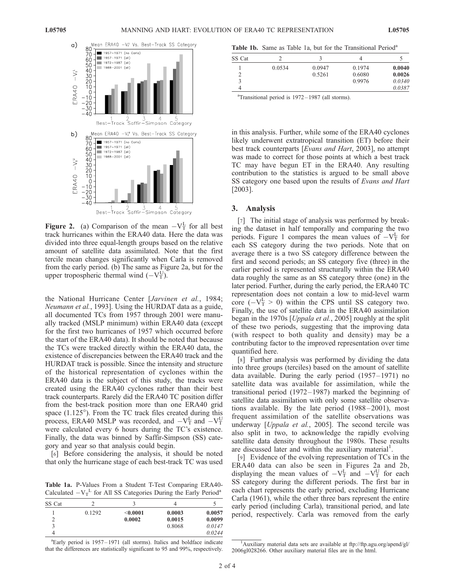

**Figure 2.** (a) Comparison of the mean  $-V_T^L$  for all best track hurricanes within the ERA40 data. Here the data was divided into three equal-length groups based on the relative amount of satellite data assimilated. Note that the first tercile mean changes significantly when Carla is removed from the early period. (b) The same as Figure 2a, but for the upper tropospheric thermal wind  $(-V_T^U)$ .

the National Hurricane Center [Jarvinen et al., 1984; Neumann et al., 1993]. Using the HURDAT data as a guide, all documented TCs from 1957 through 2001 were manually tracked (MSLP minimum) within ERA40 data (except for the first two hurricanes of 1957 which occurred before the start of the ERA40 data). It should be noted that because the TCs were tracked directly within the ERA40 data, the existence of discrepancies between the ERA40 track and the HURDAT track is possible. Since the intensity and structure of the historical representation of cyclones within the ERA40 data is the subject of this study, the tracks were created using the ERA40 cyclones rather than their best track counterparts. Rarely did the ERA40 TC position differ from the best-track position more than one ERA40 grid space  $(1.125^{\circ})$ . From the TC track files created during this process, ERA40 MSLP was recorded, and  $-V_T^L$  and  $-V_T^U$ were calculated every 6 hours during the TC's existence. Finally, the data was binned by Saffir-Simpson (SS) category and year so that analysis could begin.

[6] Before considering the analysis, it should be noted that only the hurricane stage of each best-track TC was used

Table 1a. P-Values From a Student T-Test Comparing ERA40- Calculated  $-V_T^L$  for All SS Categories During the Early Period<sup>a</sup>

| SS Cat |        |          |        |        |
|--------|--------|----------|--------|--------|
|        |        |          |        |        |
|        | 0.1292 | < 0.0001 | 0.0003 | 0.0057 |
|        |        | 0.0002   | 0.0015 | 0.0099 |
|        |        |          | 0.8068 | 0.0147 |
|        |        |          |        | 0.0244 |

<sup>a</sup>Early period is 1957-1971 (all storms). Italics and boldface indicate that the differences are statistically significant to 95 and 99%, respectively.

Table 1b. Same as Table 1a, but for the Transitional Period<sup>a</sup>

| SS Cat |        |        |        |        |
|--------|--------|--------|--------|--------|
|        | 0.0534 | 0.0947 | 0.1974 | 0.0040 |
|        |        | 0.5261 | 0.6080 | 0.0026 |
|        |        |        | 0.9976 | 0.0340 |
|        |        |        |        | 0.0387 |

<sup>a</sup>Transitional period is 1972-1987 (all storms).

in this analysis. Further, while some of the ERA40 cyclones likely underwent extratropical transition (ET) before their best track counterparts [Evans and Hart, 2003], no attempt was made to correct for those points at which a best track TC may have begun ET in the ERA40. Any resulting contribution to the statistics is argued to be small above SS category one based upon the results of Evans and Hart [2003].

### 3. Analysis

[7] The initial stage of analysis was performed by breaking the dataset in half temporally and comparing the two periods. Figure 1 compares the mean values of  $-V_T^L$  for each SS category during the two periods. Note that on average there is a two SS category difference between the first and second periods; an SS category five (three) in the earlier period is represented structurally within the ERA40 data roughly the same as an SS category three (one) in the later period. Further, during the early period, the ERA40 TC representation does not contain a low to mid-level warm core  $(-V_T^L > 0)$  within the CPS until SS category two. Finally, the use of satellite data in the ERA40 assimilation began in the 1970s [*Uppala et al.*, 2005] roughly at the split of these two periods, suggesting that the improving data (with respect to both quality and density) may be a contributing factor to the improved representation over time quantified here.

[8] Further analysis was performed by dividing the data into three groups (terciles) based on the amount of satellite data available. During the early period  $(1957-1971)$  no satellite data was available for assimilation, while the transitional period (1972– 1987) marked the beginning of satellite data assimilation with only some satellite observations available. By the late period (1988–2001), most frequent assimilation of the satellite observations was underway [Uppala et al., 2005]. The second tercile was also split in two, to acknowledge the rapidly evolving satellite data density throughout the 1980s. These results are discussed later and within the auxiliary material<sup>1</sup>.

[9] Evidence of the evolving representation of TCs in the ERA40 data can also be seen in Figures 2a and 2b, displaying the mean values of  $-V_T^L$  and  $-V_T^U$  for each SS category during the different periods. The first bar in each chart represents the early period, excluding Hurricane Carla (1961), while the other three bars represent the entire early period (including Carla), transitional period, and late period, respectively. Carla was removed from the early

<sup>&</sup>lt;sup>1</sup>Auxiliary material data sets are available at ftp://ftp.agu.org/apend/gl/ 2006gl028266. Other auxiliary material files are in the html.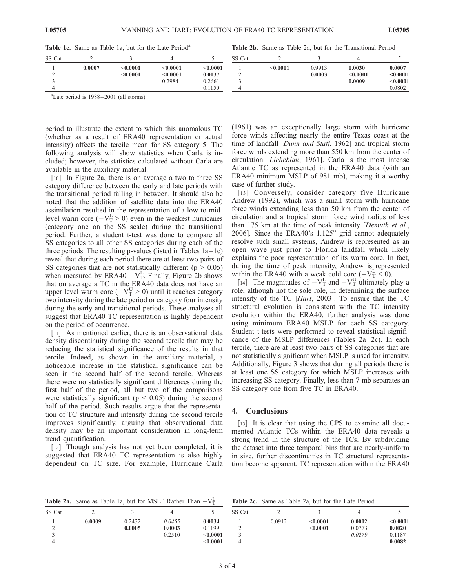| <b>Table 1c.</b> Same as Table 1a, but for the Late Period <sup>a</sup> |        |               |          |          |        |          | <b>Table 2b.</b> Same as Table 2a, but for the Transitional Period |          |          |
|-------------------------------------------------------------------------|--------|---------------|----------|----------|--------|----------|--------------------------------------------------------------------|----------|----------|
| SS Cat                                                                  |        |               |          |          | SS Cat |          |                                                                    |          |          |
|                                                                         | 0.0007 | $<\!\!0.0001$ | <0.0001  | < 0.0001 |        | < 0.0001 | 0.9913                                                             | 0.0030   | 0.0007   |
|                                                                         |        | < 0.0001      | < 0.0001 | 0.0037   |        |          | 0.0003                                                             | < 0.0001 | < 0.0001 |
|                                                                         |        |               | 0.2984   | 0.2661   |        |          |                                                                    | 0.0009   | < 0.0001 |
|                                                                         |        |               |          | 0.1150   |        |          |                                                                    |          | 0.0802   |
|                                                                         |        |               |          |          |        |          |                                                                    |          |          |

Table 1c. Same as Table 1a, but for the Late Period<sup>a</sup>

a Late period is 1988 – 2001 (all storms).

period to illustrate the extent to which this anomalous TC (whether as a result of ERA40 representation or actual intensity) affects the tercile mean for SS category 5. The following analysis will show statistics when Carla is included; however, the statistics calculated without Carla are available in the auxiliary material.

[10] In Figure 2a, there is on average a two to three SS category difference between the early and late periods with the transitional period falling in between. It should also be noted that the addition of satellite data into the ERA40 assimilation resulted in the representation of a low to midlevel warm core  $(-V_T^L > 0)$  even in the weakest hurricanes (category one on the SS scale) during the transitional period. Further, a student t-test was done to compare all SS categories to all other SS categories during each of the three periods. The resulting p-values (listed in Tables  $1a-1c$ ) reveal that during each period there are at least two pairs of SS categories that are not statistically different ( $p > 0.05$ ) when measured by ERA40  $-V_T^L$ . Finally, Figure 2b shows that on average a TC in the ERA40 data does not have an upper level warm core  $(-V_{\text{T}}^{\text{U}} > 0)$  until it reaches category two intensity during the late period or category four intensity during the early and transitional periods. These analyses all suggest that ERA40 TC representation is highly dependent on the period of occurrence.

[11] As mentioned earlier, there is an observational data density discontinuity during the second tercile that may be reducing the statistical significance of the results in that tercile. Indeed, as shown in the auxiliary material, a noticeable increase in the statistical significance can be seen in the second half of the second tercile. Whereas there were no statistically significant differences during the first half of the period, all but two of the comparisons were statistically significant ( $p < 0.05$ ) during the second half of the period. Such results argue that the representation of TC structure and intensity during the second tercile improves significantly, arguing that observational data density may be an important consideration in long-term trend quantification.

[12] Though analysis has not yet been completed, it is suggested that ERA40 TC representation is also highly dependent on TC size. For example, Hurricane Carla (1961) was an exceptionally large storm with hurricane force winds affecting nearly the entire Texas coast at the time of landfall [Dunn and Staff, 1962] and tropical storm force winds extending more than 550 km from the center of circulation [Licheblau, 1961]. Carla is the most intense Atlantic TC as represented in the ERA40 data (with an ERA40 minimum MSLP of 981 mb), making it a worthy case of further study.

[13] Conversely, consider category five Hurricane Andrew (1992), which was a small storm with hurricane force winds extending less than 50 km from the center of circulation and a tropical storm force wind radius of less than 175 km at the time of peak intensity [Demuth et al., 2006]. Since the ERA40's  $1.125^{\circ}$  grid cannot adequately resolve such small systems, Andrew is represented as an open wave just prior to Florida landfall which likely explains the poor representation of its warm core. In fact, during the time of peak intensity, Andrew is represented within the ERA40 with a weak cold core  $(-V_T^L \le 0)$ .

[14] The magnitudes of  $-V_T^L$  and  $-V_T^U$  ultimately play a role, although not the sole role, in determining the surface intensity of the TC [Hart, 2003]. To ensure that the TC structural evolution is consistent with the TC intensity evolution within the ERA40, further analysis was done using minimum ERA40 MSLP for each SS category. Student t-tests were performed to reveal statistical significance of the MSLP differences (Tables  $2a-2c$ ). In each tercile, there are at least two pairs of SS categories that are not statistically significant when MSLP is used for intensity. Additionally, Figure 3 shows that during all periods there is at least one SS category for which MSLP increases with increasing SS category. Finally, less than 7 mb separates an SS category one from five TC in ERA40.

#### 4. Conclusions

[15] It is clear that using the CPS to examine all documented Atlantic TCs within the ERA40 data reveals a strong trend in the structure of the TCs. By subdividing the dataset into three temporal bins that are nearly-uniform in size, further discontinuities in TC structural representation become apparent. TC representation within the ERA40

**Table 2a.** Same as Table 1a, but for MSLP Rather Than  $-V_T^L$ 

Table 2c. Same as Table 2a, but for the Late Period

| SS Cat |        |        |        |              | SS Cat |        |            |        |              |
|--------|--------|--------|--------|--------------|--------|--------|------------|--------|--------------|
|        | 0.0009 | 0.2432 | 0.0455 | 0.0034       |        | 0.0912 | $<$ 0.0001 | 0.0002 | $<$ $0.0001$ |
| ∼      |        | 0.0005 | 0.0003 | 0.1199       |        |        | $0.0001$   | 0.0773 | 0.0020       |
|        |        |        | 0.2510 | $<$ 0.0001   |        |        |            | 0.0279 | 0.1187       |
|        |        |        |        | $<$ $0.0001$ |        |        |            |        | 0.0082       |